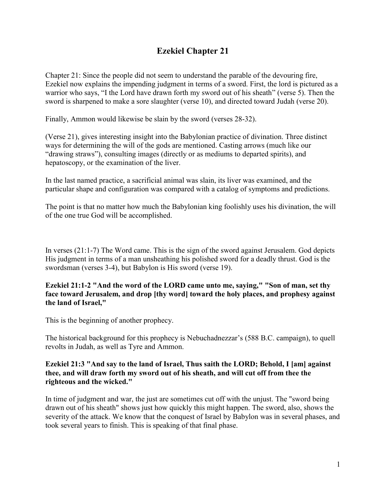# **Ezekiel Chapter 21**

Chapter 21: Since the people did not seem to understand the parable of the devouring fire, Ezekiel now explains the impending judgment in terms of a sword. First, the lord is pictured as a warrior who says, "I the Lord have drawn forth my sword out of his sheath" (verse 5). Then the sword is sharpened to make a sore slaughter (verse 10), and directed toward Judah (verse 20).

Finally, Ammon would likewise be slain by the sword (verses 28-32).

(Verse 21), gives interesting insight into the Babylonian practice of divination. Three distinct ways for determining the will of the gods are mentioned. Casting arrows (much like our "drawing straws"), consulting images (directly or as mediums to departed spirits), and hepatoscopy, or the examination of the liver.

In the last named practice, a sacrificial animal was slain, its liver was examined, and the particular shape and configuration was compared with a catalog of symptoms and predictions.

The point is that no matter how much the Babylonian king foolishly uses his divination, the will of the one true God will be accomplished.

In verses (21:1-7) The Word came. This is the sign of the sword against Jerusalem. God depicts His judgment in terms of a man unsheathing his polished sword for a deadly thrust. God is the swordsman (verses 3-4), but Babylon is His sword (verse 19).

## **Ezekiel 21:1-2 "And the word of the LORD came unto me, saying," "Son of man, set thy face toward Jerusalem, and drop [thy word] toward the holy places, and prophesy against the land of Israel,"**

This is the beginning of another prophecy.

The historical background for this prophecy is Nebuchadnezzar's (588 B.C. campaign), to quell revolts in Judah, as well as Tyre and Ammon.

#### **Ezekiel 21:3 "And say to the land of Israel, Thus saith the LORD; Behold, I [am] against thee, and will draw forth my sword out of his sheath, and will cut off from thee the righteous and the wicked."**

In time of judgment and war, the just are sometimes cut off with the unjust. The "sword being drawn out of his sheath" shows just how quickly this might happen. The sword, also, shows the severity of the attack. We know that the conquest of Israel by Babylon was in several phases, and took several years to finish. This is speaking of that final phase.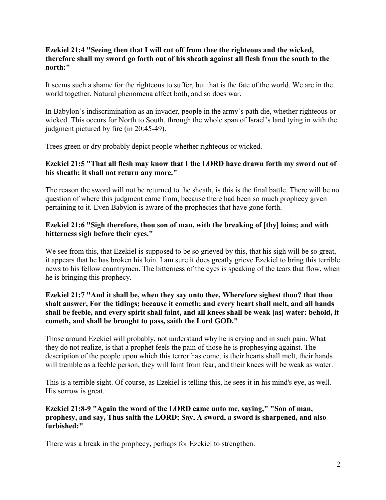#### **Ezekiel 21:4 "Seeing then that I will cut off from thee the righteous and the wicked, therefore shall my sword go forth out of his sheath against all flesh from the south to the north:"**

It seems such a shame for the righteous to suffer, but that is the fate of the world. We are in the world together. Natural phenomena affect both, and so does war.

In Babylon's indiscrimination as an invader, people in the army's path die, whether righteous or wicked. This occurs for North to South, through the whole span of Israel's land tying in with the judgment pictured by fire (in 20:45-49).

Trees green or dry probably depict people whether righteous or wicked.

## **Ezekiel 21:5 "That all flesh may know that I the LORD have drawn forth my sword out of his sheath: it shall not return any more."**

The reason the sword will not be returned to the sheath, is this is the final battle. There will be no question of where this judgment came from, because there had been so much prophecy given pertaining to it. Even Babylon is aware of the prophecies that have gone forth.

## **Ezekiel 21:6 "Sigh therefore, thou son of man, with the breaking of [thy] loins; and with bitterness sigh before their eyes."**

We see from this, that Ezekiel is supposed to be so grieved by this, that his sigh will be so great, it appears that he has broken his loin. I am sure it does greatly grieve Ezekiel to bring this terrible news to his fellow countrymen. The bitterness of the eyes is speaking of the tears that flow, when he is bringing this prophecy.

#### **Ezekiel 21:7 "And it shall be, when they say unto thee, Wherefore sighest thou? that thou shalt answer, For the tidings; because it cometh: and every heart shall melt, and all hands shall be feeble, and every spirit shall faint, and all knees shall be weak [as] water: behold, it cometh, and shall be brought to pass, saith the Lord GOD."**

Those around Ezekiel will probably, not understand why he is crying and in such pain. What they do not realize, is that a prophet feels the pain of those he is prophesying against. The description of the people upon which this terror has come, is their hearts shall melt, their hands will tremble as a feeble person, they will faint from fear, and their knees will be weak as water.

This is a terrible sight. Of course, as Ezekiel is telling this, he sees it in his mind's eye, as well. His sorrow is great.

# **Ezekiel 21:8-9 "Again the word of the LORD came unto me, saying," "Son of man, prophesy, and say, Thus saith the LORD; Say, A sword, a sword is sharpened, and also furbished:"**

There was a break in the prophecy, perhaps for Ezekiel to strengthen.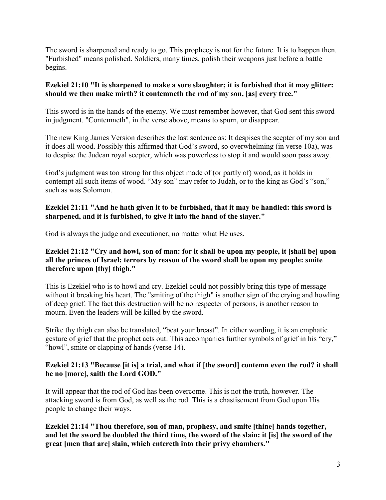The sword is sharpened and ready to go. This prophecy is not for the future. It is to happen then. "Furbished" means polished. Soldiers, many times, polish their weapons just before a battle begins.

## **Ezekiel 21:10 "It is sharpened to make a sore slaughter; it is furbished that it may glitter: should we then make mirth? it contemneth the rod of my son, [as] every tree."**

This sword is in the hands of the enemy. We must remember however, that God sent this sword in judgment. "Contemneth", in the verse above, means to spurn, or disappear.

The new King James Version describes the last sentence as: It despises the scepter of my son and it does all wood. Possibly this affirmed that God's sword, so overwhelming (in verse 10a), was to despise the Judean royal scepter, which was powerless to stop it and would soon pass away.

God's judgment was too strong for this object made of (or partly of) wood, as it holds in contempt all such items of wood. "My son" may refer to Judah, or to the king as God's "son," such as was Solomon.

## **Ezekiel 21:11 "And he hath given it to be furbished, that it may be handled: this sword is sharpened, and it is furbished, to give it into the hand of the slayer."**

God is always the judge and executioner, no matter what He uses.

## **Ezekiel 21:12 "Cry and howl, son of man: for it shall be upon my people, it [shall be] upon all the princes of Israel: terrors by reason of the sword shall be upon my people: smite therefore upon [thy] thigh."**

This is Ezekiel who is to howl and cry. Ezekiel could not possibly bring this type of message without it breaking his heart. The "smiting of the thigh" is another sign of the crying and howling of deep grief. The fact this destruction will be no respecter of persons, is another reason to mourn. Even the leaders will be killed by the sword.

Strike thy thigh can also be translated, "beat your breast". In either wording, it is an emphatic gesture of grief that the prophet acts out. This accompanies further symbols of grief in his "cry," "howl", smite or clapping of hands (verse 14).

## **Ezekiel 21:13 "Because [it is] a trial, and what if [the sword] contemn even the rod? it shall be no [more], saith the Lord GOD."**

It will appear that the rod of God has been overcome. This is not the truth, however. The attacking sword is from God, as well as the rod. This is a chastisement from God upon His people to change their ways.

**Ezekiel 21:14 "Thou therefore, son of man, prophesy, and smite [thine] hands together, and let the sword be doubled the third time, the sword of the slain: it [is] the sword of the great [men that are] slain, which entereth into their privy chambers."**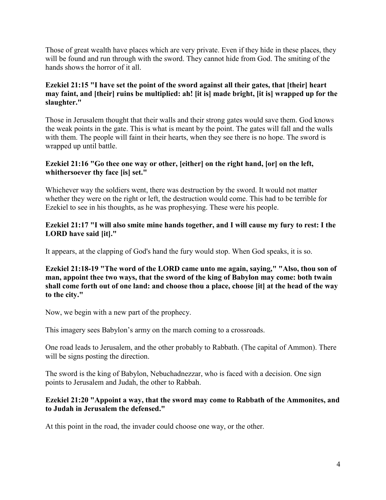Those of great wealth have places which are very private. Even if they hide in these places, they will be found and run through with the sword. They cannot hide from God. The smiting of the hands shows the horror of it all.

## **Ezekiel 21:15 "I have set the point of the sword against all their gates, that [their] heart may faint, and [their] ruins be multiplied: ah! [it is] made bright, [it is] wrapped up for the slaughter."**

Those in Jerusalem thought that their walls and their strong gates would save them. God knows the weak points in the gate. This is what is meant by the point. The gates will fall and the walls with them. The people will faint in their hearts, when they see there is no hope. The sword is wrapped up until battle.

## **Ezekiel 21:16 "Go thee one way or other, [either] on the right hand, [or] on the left, whithersoever thy face [is] set."**

Whichever way the soldiers went, there was destruction by the sword. It would not matter whether they were on the right or left, the destruction would come. This had to be terrible for Ezekiel to see in his thoughts, as he was prophesying. These were his people.

## **Ezekiel 21:17 "I will also smite mine hands together, and I will cause my fury to rest: I the LORD have said [it]."**

It appears, at the clapping of God's hand the fury would stop. When God speaks, it is so.

**Ezekiel 21:18-19 "The word of the LORD came unto me again, saying," "Also, thou son of man, appoint thee two ways, that the sword of the king of Babylon may come: both twain shall come forth out of one land: and choose thou a place, choose [it] at the head of the way to the city."**

Now, we begin with a new part of the prophecy.

This imagery sees Babylon's army on the march coming to a crossroads.

One road leads to Jerusalem, and the other probably to Rabbath. (The capital of Ammon). There will be signs posting the direction.

The sword is the king of Babylon, Nebuchadnezzar, who is faced with a decision. One sign points to Jerusalem and Judah, the other to Rabbah.

## **Ezekiel 21:20 "Appoint a way, that the sword may come to Rabbath of the Ammonites, and to Judah in Jerusalem the defensed."**

At this point in the road, the invader could choose one way, or the other.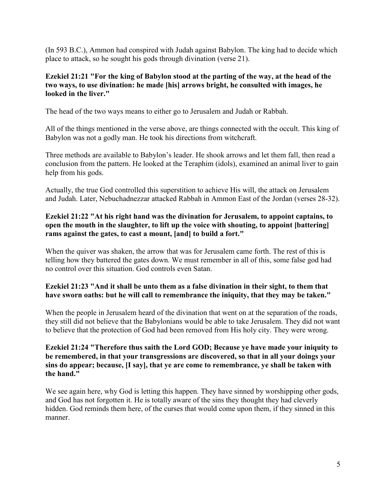(In 593 B.C.), Ammon had conspired with Judah against Babylon. The king had to decide which place to attack, so he sought his gods through divination (verse 21).

## **Ezekiel 21:21 "For the king of Babylon stood at the parting of the way, at the head of the two ways, to use divination: he made [his] arrows bright, he consulted with images, he looked in the liver."**

The head of the two ways means to either go to Jerusalem and Judah or Rabbah.

All of the things mentioned in the verse above, are things connected with the occult. This king of Babylon was not a godly man. He took his directions from witchcraft.

Three methods are available to Babylon's leader. He shook arrows and let them fall, then read a conclusion from the pattern. He looked at the Teraphim (idols), examined an animal liver to gain help from his gods.

Actually, the true God controlled this superstition to achieve His will, the attack on Jerusalem and Judah. Later, Nebuchadnezzar attacked Rabbah in Ammon East of the Jordan (verses 28-32).

## **Ezekiel 21:22 "At his right hand was the divination for Jerusalem, to appoint captains, to open the mouth in the slaughter, to lift up the voice with shouting, to appoint [battering] rams against the gates, to cast a mount, [and] to build a fort."**

When the quiver was shaken, the arrow that was for Jerusalem came forth. The rest of this is telling how they battered the gates down. We must remember in all of this, some false god had no control over this situation. God controls even Satan.

## **Ezekiel 21:23 "And it shall be unto them as a false divination in their sight, to them that have sworn oaths: but he will call to remembrance the iniquity, that they may be taken."**

When the people in Jerusalem heard of the divination that went on at the separation of the roads, they still did not believe that the Babylonians would be able to take Jerusalem. They did not want to believe that the protection of God had been removed from His holy city. They were wrong.

#### **Ezekiel 21:24 "Therefore thus saith the Lord GOD; Because ye have made your iniquity to be remembered, in that your transgressions are discovered, so that in all your doings your sins do appear; because, [I say], that ye are come to remembrance, ye shall be taken with the hand."**

We see again here, why God is letting this happen. They have sinned by worshipping other gods, and God has not forgotten it. He is totally aware of the sins they thought they had cleverly hidden. God reminds them here, of the curses that would come upon them, if they sinned in this manner.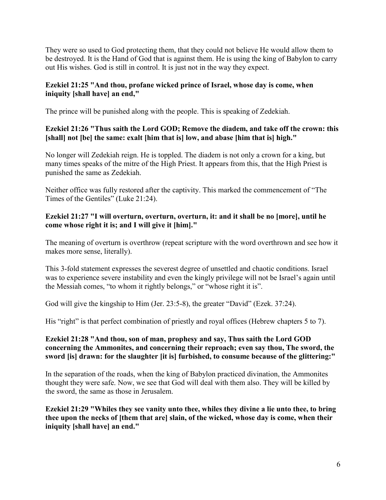They were so used to God protecting them, that they could not believe He would allow them to be destroyed. It is the Hand of God that is against them. He is using the king of Babylon to carry out His wishes. God is still in control. It is just not in the way they expect.

## **Ezekiel 21:25 "And thou, profane wicked prince of Israel, whose day is come, when iniquity [shall have] an end,"**

The prince will be punished along with the people. This is speaking of Zedekiah.

# **Ezekiel 21:26 "Thus saith the Lord GOD; Remove the diadem, and take off the crown: this [shall] not [be] the same: exalt [him that is] low, and abase [him that is] high."**

No longer will Zedekiah reign. He is toppled. The diadem is not only a crown for a king, but many times speaks of the mitre of the High Priest. It appears from this, that the High Priest is punished the same as Zedekiah.

Neither office was fully restored after the captivity. This marked the commencement of "The Times of the Gentiles" (Luke 21:24).

# **Ezekiel 21:27 "I will overturn, overturn, overturn, it: and it shall be no [more], until he come whose right it is; and I will give it [him]."**

The meaning of overturn is overthrow (repeat scripture with the word overthrown and see how it makes more sense, literally).

This 3-fold statement expresses the severest degree of unsettled and chaotic conditions. Israel was to experience severe instability and even the kingly privilege will not be Israel's again until the Messiah comes, "to whom it rightly belongs," or "whose right it is".

God will give the kingship to Him (Jer. 23:5-8), the greater "David" (Ezek. 37:24).

His "right" is that perfect combination of priestly and royal offices (Hebrew chapters 5 to 7).

## **Ezekiel 21:28 "And thou, son of man, prophesy and say, Thus saith the Lord GOD concerning the Ammonites, and concerning their reproach; even say thou, The sword, the sword [is] drawn: for the slaughter [it is] furbished, to consume because of the glittering:"**

In the separation of the roads, when the king of Babylon practiced divination, the Ammonites thought they were safe. Now, we see that God will deal with them also. They will be killed by the sword, the same as those in Jerusalem.

**Ezekiel 21:29 "Whiles they see vanity unto thee, whiles they divine a lie unto thee, to bring thee upon the necks of [them that are] slain, of the wicked, whose day is come, when their iniquity [shall have] an end."**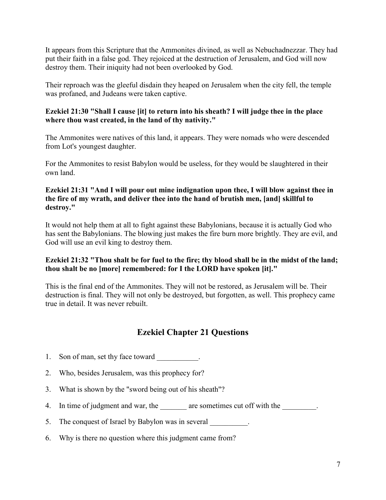It appears from this Scripture that the Ammonites divined, as well as Nebuchadnezzar. They had put their faith in a false god. They rejoiced at the destruction of Jerusalem, and God will now destroy them. Their iniquity had not been overlooked by God.

Their reproach was the gleeful disdain they heaped on Jerusalem when the city fell, the temple was profaned, and Judeans were taken captive.

# **Ezekiel 21:30 "Shall I cause [it] to return into his sheath? I will judge thee in the place where thou wast created, in the land of thy nativity."**

The Ammonites were natives of this land, it appears. They were nomads who were descended from Lot's youngest daughter.

For the Ammonites to resist Babylon would be useless, for they would be slaughtered in their own land.

#### **Ezekiel 21:31 "And I will pour out mine indignation upon thee, I will blow against thee in the fire of my wrath, and deliver thee into the hand of brutish men, [and] skillful to destroy."**

It would not help them at all to fight against these Babylonians, because it is actually God who has sent the Babylonians. The blowing just makes the fire burn more brightly. They are evil, and God will use an evil king to destroy them.

# **Ezekiel 21:32 "Thou shalt be for fuel to the fire; thy blood shall be in the midst of the land; thou shalt be no [more] remembered: for I the LORD have spoken [it]."**

This is the final end of the Ammonites. They will not be restored, as Jerusalem will be. Their destruction is final. They will not only be destroyed, but forgotten, as well. This prophecy came true in detail. It was never rebuilt.

# **Ezekiel Chapter 21 Questions**

- 1. Son of man, set thy face toward
- 2. Who, besides Jerusalem, was this prophecy for?
- 3. What is shown by the "sword being out of his sheath"?
- 4. In time of judgment and war, the \_\_\_\_\_\_\_ are sometimes cut off with the \_\_\_\_\_\_\_.
- 5. The conquest of Israel by Babylon was in several
- 6. Why is there no question where this judgment came from?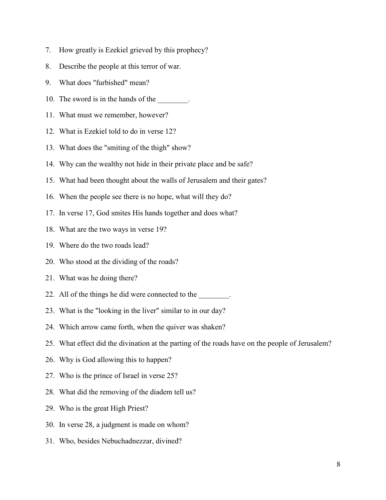- 7. How greatly is Ezekiel grieved by this prophecy?
- 8. Describe the people at this terror of war.
- 9. What does "furbished" mean?
- 10. The sword is in the hands of the \_\_\_\_\_\_\_\_.
- 11. What must we remember, however?
- 12. What is Ezekiel told to do in verse 12?
- 13. What does the "smiting of the thigh" show?
- 14. Why can the wealthy not hide in their private place and be safe?
- 15. What had been thought about the walls of Jerusalem and their gates?
- 16. When the people see there is no hope, what will they do?
- 17. In verse 17, God smites His hands together and does what?
- 18. What are the two ways in verse 19?
- 19. Where do the two roads lead?
- 20. Who stood at the dividing of the roads?
- 21. What was he doing there?
- 22. All of the things he did were connected to the \_\_\_\_\_\_\_.
- 23. What is the "looking in the liver" similar to in our day?
- 24. Which arrow came forth, when the quiver was shaken?
- 25. What effect did the divination at the parting of the roads have on the people of Jerusalem?
- 26. Why is God allowing this to happen?
- 27. Who is the prince of Israel in verse 25?
- 28. What did the removing of the diadem tell us?
- 29. Who is the great High Priest?
- 30. In verse 28, a judgment is made on whom?
- 31. Who, besides Nebuchadnezzar, divined?